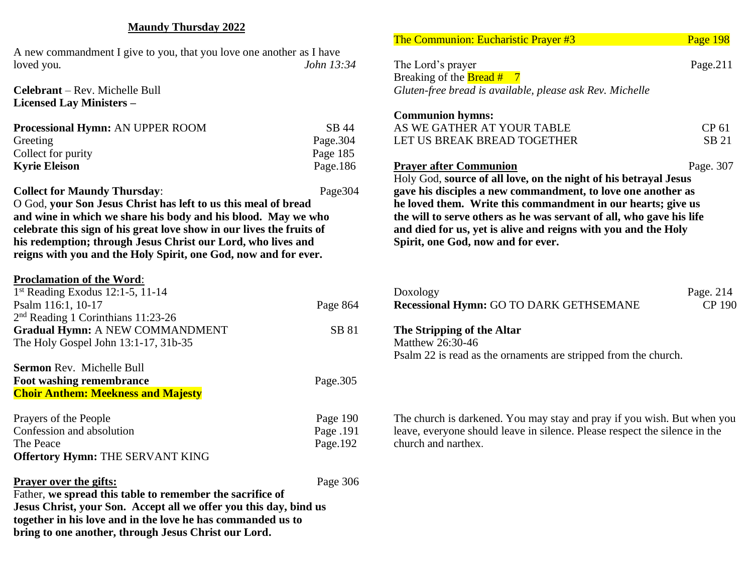## **Maundy Thursday 2022**

A new commandment I give to you, that you love one another as I have loved you*. John 13:34*

**Celebrant** – Rev. Michelle Bull **Licensed Lay Ministers –**

| Processional Hymn: AN UPPER ROOM | SB 44       |
|----------------------------------|-------------|
| Greeting                         | Page. $304$ |
| Collect for purity               | Page 185    |
| <b>Kyrie Eleison</b>             | Page. $186$ |

**Collect for Maundy Thursday:** Page304 O God, **your Son Jesus Christ has left to us this meal of bread and wine in which we share his body and his blood. May we who celebrate this sign of his great love show in our lives the fruits of his redemption; through Jesus Christ our Lord, who lives and reigns with you and the Holy Spirit, one God, now and for ever.**

## **Proclamation of the Word**: 1 st Reading Exodus 12:1-5, 11-14 Psalm 116:1, 10-17 Page 864 2 nd Reading 1 Corinthians 11:23-26 Gradual Hymn: A NEW COMMANDMENT SB 81 The Holy Gospel John 13:1-17, 31b-35 **Sermon** Rev. Michelle Bull **Foot washing remembrance** Page.305 **Choir Anthem: Meekness and Majesty** Prayers of the People Page 190 Confession and absolution Page .191 The Peace Page.192 **Offertory Hymn:** THE SERVANT KING **Prayer over the gifts:** Page 306 Father, **we spread this table to remember the sacrifice of**

**Jesus Christ, your Son. Accept all we offer you this day, bind us together in his love and in the love he has commanded us to bring to one another, through Jesus Christ our Lord.**

| <b>The Communion: Eucharistic Prayer #3</b>                                                                                                                                              | Page 198                                                     |
|------------------------------------------------------------------------------------------------------------------------------------------------------------------------------------------|--------------------------------------------------------------|
| The Lord's prayer                                                                                                                                                                        | Page. $211$                                                  |
| Breaking of the <b>Bread #</b> $7$<br>Gluten-free bread is available, please ask Rev. Michelle                                                                                           |                                                              |
|                                                                                                                                                                                          |                                                              |
| <b>Communion hymns:</b>                                                                                                                                                                  |                                                              |
| AS WE GATHER AT YOUR TABLE                                                                                                                                                               | CP 61                                                        |
| LET US BREAK BREAD TOGETHER                                                                                                                                                              | <b>SB 21</b>                                                 |
| <b>Prayer after Communion</b>                                                                                                                                                            | Page. 307                                                    |
|                                                                                                                                                                                          | he loved them. Write this commandment in our hearts; give us |
|                                                                                                                                                                                          |                                                              |
| the will to serve others as he was servant of all, who gave his life<br>and died for us, yet is alive and reigns with you and the Holy<br>Spirit, one God, now and for ever.<br>Doxology |                                                              |
| Recessional Hymn: GO TO DARK GETHSEMANE                                                                                                                                                  | Page. 214<br><b>CP 190</b>                                   |
| The Stripping of the Altar<br>Matthew 26:30-46                                                                                                                                           |                                                              |
| Psalm 22 is read as the ornaments are stripped from the church.                                                                                                                          |                                                              |